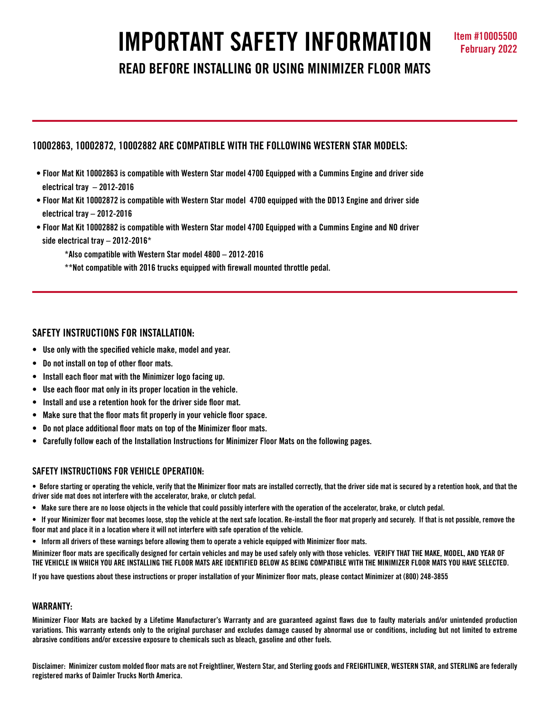# **IMPORTANT SAFETY INFORMATION Item #10005500**

**READ BEFORE INSTALLING OR USING MINIMIZER FLOOR MATS**

# **10002863, 10002872, 10002882 ARE COMPATIBLE WITH THE FOLLOWING WESTERN STAR MODELS:**

- **Floor Mat Kit 10002863 is compatible with Western Star model 4700 Equipped with a Cummins Engine and driver side electrical tray – 2012-2016**
- **Floor Mat Kit 10002872 is compatible with Western Star model 4700 equipped with the DD13 Engine and driver side electrical tray – 2012-2016**
- **Floor Mat Kit 10002882 is compatible with Western Star model 4700 Equipped with a Cummins Engine and NO driver side electrical tray – 2012-2016\***

**\*Also compatible with Western Star model 4800 – 2012-2016**

 **\*\*Not compatible with 2016 trucks equipped with firewall mounted throttle pedal.**

## **SAFETY INSTRUCTIONS FOR INSTALLATION:**

- **Use only with the specified vehicle make, model and year.**
- **Do not install on top of other floor mats.**
- **Install each floor mat with the Minimizer logo facing up.**
- **Use each floor mat only in its proper location in the vehicle.**
- **Install and use a retention hook for the driver side floor mat.**
- **Make sure that the floor mats fit properly in your vehicle floor space.**
- **Do not place additional floor mats on top of the Minimizer floor mats.**
- **Carefully follow each of the Installation Instructions for Minimizer Floor Mats on the following pages.**

## **SAFETY INSTRUCTIONS FOR VEHICLE OPERATION:**

• Before starting or operating the vehicle, verify that the Minimizer floor mats are installed correctly, that the driver side mat is secured by a retention hook, and that the **driver side mat does not interfere with the accelerator, brake, or clutch pedal.**

- Make sure there are no loose objects in the vehicle that could possibly interfere with the operation of the accelerator, brake, or clutch pedal.
- If your Minimizer floor mat becomes loose, stop the vehicle at the next safe location. Re-install the floor mat properly and securely. If that is not possible, remove the floor mat and place it in a location where it will not interfere with safe operation of the vehicle.
- Inform all drivers of these warnings before allowing them to operate a vehicle equipped with Minimizer floor mats.

Minimizer floor mats are specifically designed for certain vehicles and may be used safely only with those vehicles. VERIFY THAT THE MAKE, MODEL, AND YEAR OF THE VEHICLE IN WHICH YOU ARE INSTALLING THE FLOOR MATS ARE IDENTIFIED BELOW AS BEING COMPATIBLE WITH THE MINIMIZER FLOOR MATS YOU HAVE SELECTED.

If you have questions about these instructions or proper installation of your Minimizer floor mats, please contact Minimizer at (800) 248-3855

#### **WARRANTY:**

Minimizer Floor Mats are backed by a Lifetime Manufacturer's Warranty and are guaranteed against flaws due to faulty materials and/or unintended production variations. This warranty extends only to the original purchaser and excludes damage caused by abnormal use or conditions, including but not limited to extreme **abrasive conditions and/or excessive exposure to chemicals such as bleach, gasoline and other fuels.**

Disclaimer: Minimizer custom molded floor mats are not Freightliner, Western Star, and Sterling goods and FREIGHTLINER, WESTERN STAR, and STERLING are federally **registered marks of Daimler Trucks North America.**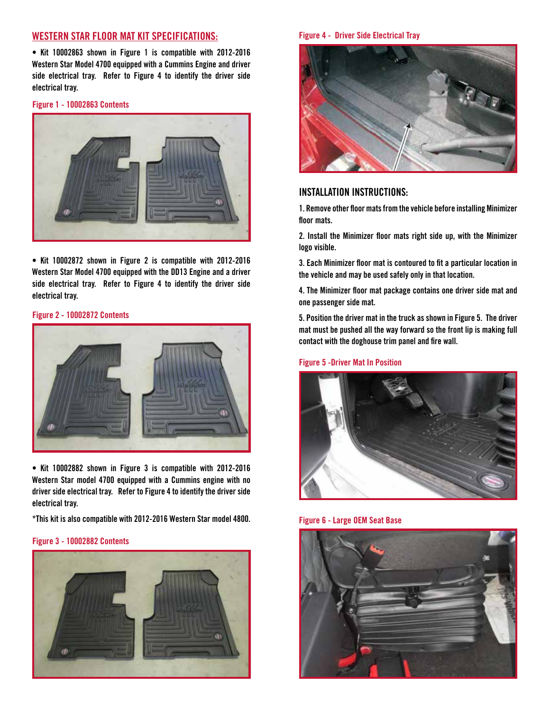## **WESTERN STAR FLOOR MAT KIT SPECIFICATIONS:**

**• Kit 10002863 shown in Figure 1 is compatible with 2012-2016 Western Star Model 4700 equipped with a Cummins Engine and driver side electrical tray. Refer to Figure 4 to identify the driver side electrical tray.**

**Figure 1 - 10002863 Contents**



**• Kit 10002872 shown in Figure 2 is compatible with 2012-2016 Western Star Model 4700 equipped with the DD13 Engine and a driver side electrical tray. Refer to Figure 4 to identify the driver side electrical tray.**

#### **Figure 2 - 10002872 Contents**



**• Kit 10002882 shown in Figure 3 is compatible with 2012-2016 Western Star model 4700 equipped with a Cummins engine with no driver side electrical tray. Refer to Figure 4 to identify the driver side electrical tray.**

**\*This kit is also compatible with 2012-2016 Western Star model 4800.**

#### **Figure 3 - 10002882 Contents**



#### **Figure 4 - Driver Side Electrical Tray**



## **INSTALLATION INSTRUCTIONS:**

**1. Remove other floormatsfromthe vehicle before installing Minimizer floor mats.**

**2. Install the Minimizer floor mats right side up, with the Minimizer logo visible.**

**3. Each Minimizer floor mat is contoured to fit a particular location in the vehicle and may be used safely only in that location.**

**4. The Minimizer floor mat package contains one driver side mat and one passenger side mat.** 

**5. Position the driver mat in the truck as shown in Figure 5. The driver mat must be pushed all the way forward so the front lip is making full contact with the doghouse trim panel and fire wall.**

#### **Figure 5 -Driver Mat In Position**



**Figure 6 - Large OEM Seat Base**

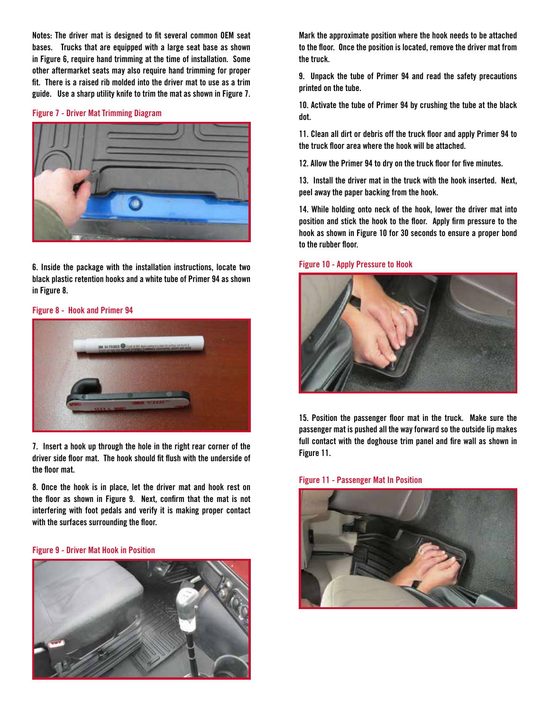**Notes: The driver mat is designed to fit several common OEM seat bases. Trucks that are equipped with a large seat base as shown in Figure 6, require hand trimming at the time of installation. Some other aftermarket seats may also require hand trimming for proper fit. There is a raised rib molded into the driver mat to use as a trim guide. Use a sharp utility knife to trim the mat as shown in Figure 7.**

#### **Figure 7 - Driver Mat Trimming Diagram**



**6. Inside the package with the installation instructions, locate two black plastic retention hooks and a white tube of Primer 94 as shown in Figure 8.**

**Figure 8 - Hook and Primer 94**



**7. Insert a hook up through the hole in the right rear corner of the driver side floor mat. The hook should fit flush with the underside of the floor mat.** 

**8. Once the hook is in place, let the driver mat and hook rest on the floor as shown in Figure 9. Next, confirm that the mat is not interfering with foot pedals and verify it is making proper contact with the surfaces surrounding the floor.**

## **Figure 9 - Driver Mat Hook in Position**



**Mark the approximate position where the hook needs to be attached to the floor. Once the position is located, remove the driver mat from the truck.**

**9. Unpack the tube of Primer 94 and read the safety precautions printed on the tube.**

**10. Activate the tube of Primer 94 by crushing the tube at the black dot.**

**11. Clean all dirt or debris off the truck floor and apply Primer 94 to the truck floor area where the hook will be attached.**

**12. Allow the Primer 94 to dry on the truck floor for five minutes.** 

**13. Install the driver mat in the truck with the hook inserted. Next, peel away the paper backing from the hook.**

**14. While holding onto neck of the hook, lower the driver mat into position and stick the hook to the floor. Apply firm pressure to the hook as shown in Figure 10 for 30 seconds to ensure a proper bond to the rubber floor.**

#### **Figure 10 - Apply Pressure to Hook**



**15. Position the passenger floor mat in the truck. Make sure the passenger mat is pushed all the way forward so the outside lip makes full contact with the doghouse trim panel and fire wall as shown in Figure 11.**

**Figure 11 - Passenger Mat In Position**